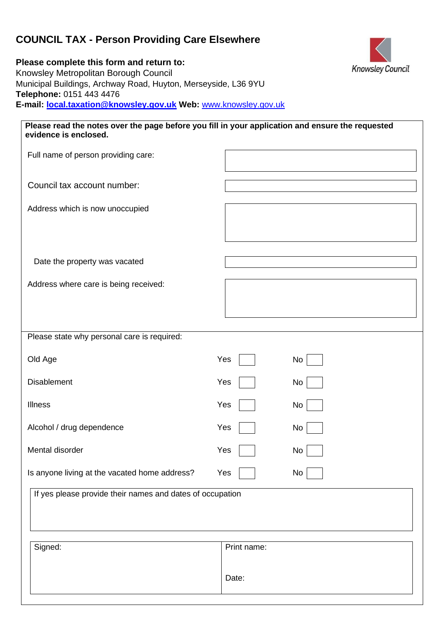# **COUNCIL TAX - Person Providing Care Elsewhere**

**Please complete this form and return to:**  Knowsley Metropolitan Borough Council Municipal Buildings, Archway Road, Huyton, Merseyside, L36 9YU **Telephone:** 0151 443 4476 **E-mail: local.taxation@knowsley.gov.uk Web:** [www.knowsley.gov.uk](http://www.knowsley.gov.uk/) 

| Please read the notes over the page before you fill in your application and ensure the requested<br>evidence is enclosed. |             |  |  |  |
|---------------------------------------------------------------------------------------------------------------------------|-------------|--|--|--|
| Full name of person providing care:                                                                                       |             |  |  |  |
| Council tax account number:                                                                                               |             |  |  |  |
| Address which is now unoccupied                                                                                           |             |  |  |  |
| Date the property was vacated                                                                                             |             |  |  |  |
| Address where care is being received:                                                                                     |             |  |  |  |
| Please state why personal care is required:                                                                               |             |  |  |  |
| Old Age                                                                                                                   | Yes<br>No   |  |  |  |
| <b>Disablement</b>                                                                                                        | Yes<br>No   |  |  |  |
| <b>Illness</b>                                                                                                            | Yes<br>No   |  |  |  |
| Alcohol / drug dependence                                                                                                 | Yes<br>No   |  |  |  |
| Mental disorder                                                                                                           | Yes<br>No   |  |  |  |
| Is anyone living at the vacated home address?                                                                             | Yes<br>No   |  |  |  |
| If yes please provide their names and dates of occupation                                                                 |             |  |  |  |
| Signed:                                                                                                                   | Print name: |  |  |  |
|                                                                                                                           | Date:       |  |  |  |

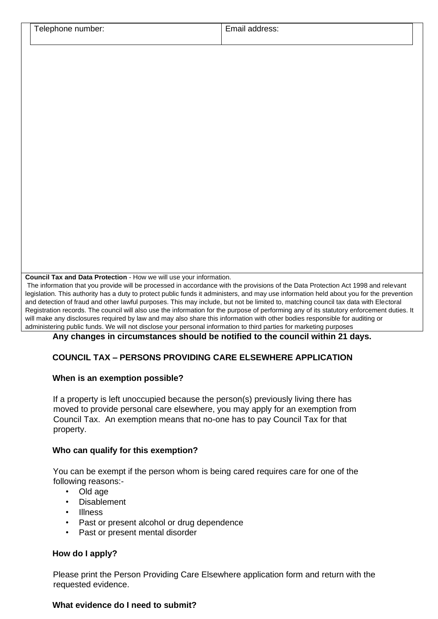| number:<br>ele<br>.onone | address:<br>$  -$<br>на<br>.<br>_______ |  |
|--------------------------|-----------------------------------------|--|
|                          |                                         |  |

**Council Tax and Data Protection** - How we will use your information.

The information that you provide will be processed in accordance with the provisions of the Data Protection Act 1998 and relevant legislation. This authority has a duty to protect public funds it administers, and may use information held about you for the prevention and detection of fraud and other lawful purposes. This may include, but not be limited to, matching council tax data with Electoral Registration records. The council will also use the information for the purpose of performing any of its statutory enforcement duties. It will make any disclosures required by law and may also share this information with other bodies responsible for auditing or administering public funds. We will not disclose your personal information to third parties for marketing purposes

**Any changes in circumstances should be notified to the council within 21 days.** 

### **COUNCIL TAX – PERSONS PROVIDING CARE ELSEWHERE APPLICATION**

#### **When is an exemption possible?**

If a property is left unoccupied because the person(s) previously living there has moved to provide personal care elsewhere, you may apply for an exemption from Council Tax. An exemption means that no-one has to pay Council Tax for that property.

#### **Who can qualify for this exemption?**

You can be exempt if the person whom is being cared requires care for one of the following reasons:-

- Old age
- Disablement
- Illness
- Past or present alcohol or drug dependence
- Past or present mental disorder

#### **How do I apply?**

Please print the Person Providing Care Elsewhere application form and return with the requested evidence.

#### **What evidence do I need to submit?**